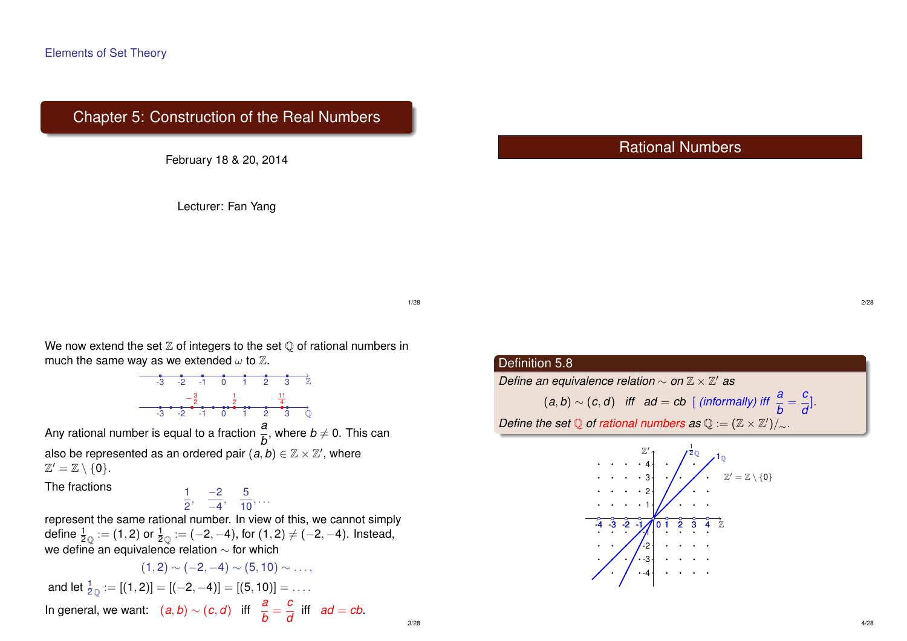### Chapter 5: Construction of the Real Numbers

February 18 & 20, 2014

Lecturer: Fan Yang

Rational Numbers

1/28

We now extend the set  $\mathbb Z$  of integers to the set  $\mathbb Q$  of rational numbers in much the same way as we extended  $\omega$  to  $\mathbb{Z}$ .

> $-3$   $-2$   $-1$  0 1 2 3  $\mathbb{Z}$ -3 -2 -1 0 1 2 3 Q  $-\frac{3}{2}$   $\frac{1}{2}$   $\frac{11}{4}$

Any rational number is equal to a fraction  $\frac{a}{b}$ , where  $b\neq 0$ . This can also be represented as an ordered pair  $(a, b) \in \mathbb{Z} \times \mathbb{Z}'$ , where  $\mathbb{Z}'=\mathbb{Z}\setminus\{0\}.$ 

The fractions

$$
\frac{1}{2}, \quad \frac{-2}{-4}, \quad \frac{5}{10}, \ldots
$$

represent the same rational number. In view of this, we cannot simply define  $\frac{1}{2}_\mathbb{Q}:=(1,2)$  or  $\frac{1}{2}_\mathbb{Q}:=(-2,-4),$  for  $(1,2)\neq(-2,-4).$  Instead, we define an equivalence relation ∼ for which

 $(1, 2) \sim (-2, -4) \sim (5, 10) \sim \ldots$ and let  $\frac{1}{2}_\mathbb{Q} := [(1,2)] = [(-2,-4)] = [(5,10)] = \ldots$  . In general, we want:  $(a, b) \sim (c, d)$  iff  $\frac{a}{b} = \frac{c}{d}$  $\frac{\partial}{\partial}$  iff  $ad = cb$ .

## Definition 5.8

*Define an equivalence relation* ∼ *on* Z × Z <sup>0</sup> *as*  $(a, b) \sim (c, d)$  *iff* ad = cb [ (informally) iff  $\frac{a}{b} = \frac{c}{a}$  $\frac{d}{d}$ . *Define the set*  $\mathbb Q$  *of rational numbers as*  $\mathbb Q := (\mathbb Z \times \mathbb Z') /_{\sim}$ *.* 



2/28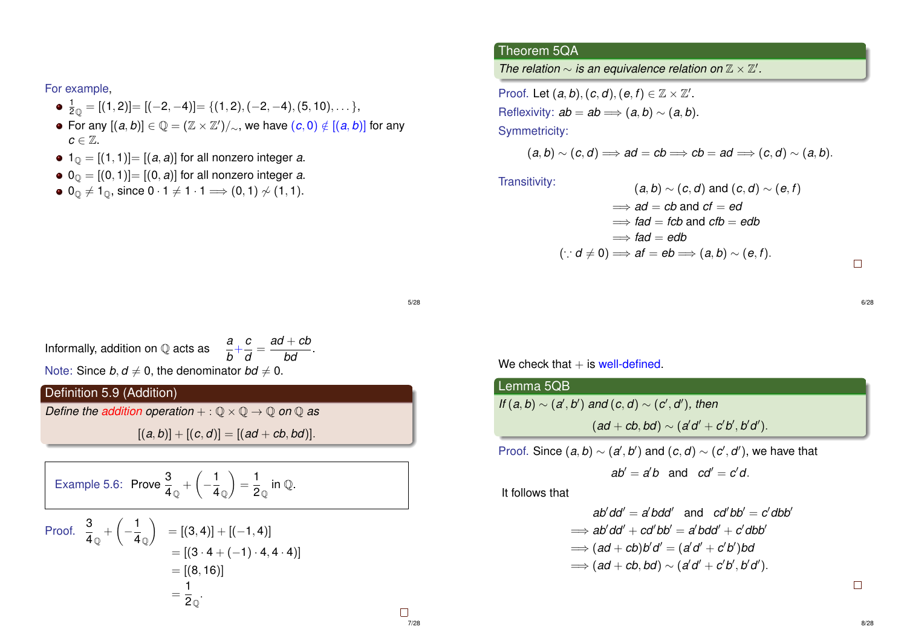#### For example,

- $\frac{1}{2}_\mathbb{Q} = [(1,2)]\!\!=\! [(-2,-4)]\!\!=\{ (1,2), (-2,-4), (5,10), \dots \},$
- For any  $[(a, b)] \in \mathbb{Q} = (\mathbb{Z} \times \mathbb{Z}')/\sim$ , we have  $(c, 0) \notin [(a, b)]$  for any  $c \in \mathbb{Z}$ .
- $\bullet$  1<sub>0</sub> = [(1, 1)] = [(*a*, *a*)] for all nonzero integer *a*.
- $\bullet$   $0_{\mathbb{O}} = [(0, 1)] = [(0, a)]$  for all nonzero integer *a*.
- $\bullet$  0<sub>0</sub>  $\neq$  1<sub>0</sub>, since 0 · 1  $\neq$  1 · 1  $\Longrightarrow$  (0, 1)  $\nsim$  (1, 1).

#### Theorem 5QA

*The relation*  $\sim$  *is an equivalence relation on*  $\mathbb{Z} \times \mathbb{Z}'$ *.* 

Proof. Let  $(a, b), (c, d), (e, f) \in \mathbb{Z} \times \mathbb{Z}'$ .

Reflexivity:  $ab = ab \implies (a, b) \sim (a, b)$ .

Symmetricity:

$$
(a,b)\sim (c,d)\Longrightarrow ad=cb\Longrightarrow cb=ad\Longrightarrow (c,d)\sim (a,b).
$$

Transitivity:  
\n
$$
(a, b) \sim (c, d) \text{ and } (c, d) \sim (e, f)
$$
\n
$$
\implies ad = cb \text{ and } cf = ed
$$
\n
$$
\implies tad = to \text{ and } cb = edb
$$
\n
$$
(\because d \neq 0) \implies af = eb \implies (a, b) \sim (e, f).
$$

5/28

Informally, addition on Q acts as *a*  $\frac{a}{b} + \frac{c}{d}$  $\frac{c}{d} = \frac{ad + cb}{bd}.$ Note: Since *b*,  $d \neq 0$ , the denominator  $bd \neq 0$ .

#### Definition 5.9 (Addition)

*Define the addition operation* + :  $\mathbb{Q} \times \mathbb{Q} \rightarrow \mathbb{Q}$  *on*  $\mathbb{Q}$  *as* 

 $[(a, b)] + [(c, d)] = [(ad + cb, bd)].$ 

Example 5.6: Prove 
$$
\frac{3}{4\mathbb{Q}} + \left(-\frac{1}{4\mathbb{Q}}\right) = \frac{1}{2\mathbb{Q}}
$$
 in  $\mathbb{Q}$ .  
\nProof.  $\frac{3}{4\mathbb{Q}} + \left(-\frac{1}{4\mathbb{Q}}\right) = [(3, 4)] + [(-1, 4)]$   
\n $= [(3 \cdot 4 + (-1) \cdot 4, 4 \cdot 4)]$   
\n $= [(8, 16)]$   
\n $= \frac{1}{2\mathbb{Q}}$ .

We check that  $+$  is well-defined.

| Lemma 5QB                                               |
|---------------------------------------------------------|
| If $(a,b) \sim (a',b')$ and $(c,d) \sim (c',d')$ , then |
| $(ad + cb, bd) \sim (a'd' + c'b', b'd').$               |

Proof. Since  $(a, b) \sim (a', b')$  and  $(c, d) \sim (c', d')$ , we have that

$$
ab' = a'b \quad \text{and} \quad cd' = c'd.
$$

It follows that

$$
ab'dd' = a' bdd' \text{ and } cd'bb' = c'dbb'
$$
  
\n
$$
\implies ab'dd' + cd'bb' = a' bdd' + c'dbb'
$$
  
\n
$$
\implies (ad + cb)b'd' = (a'd' + c'b')bd
$$
  
\n
$$
\implies (ad + cb, bd) \sim (a'd' + c'b', b'd').
$$

 $\Box$ 

8/28

6/28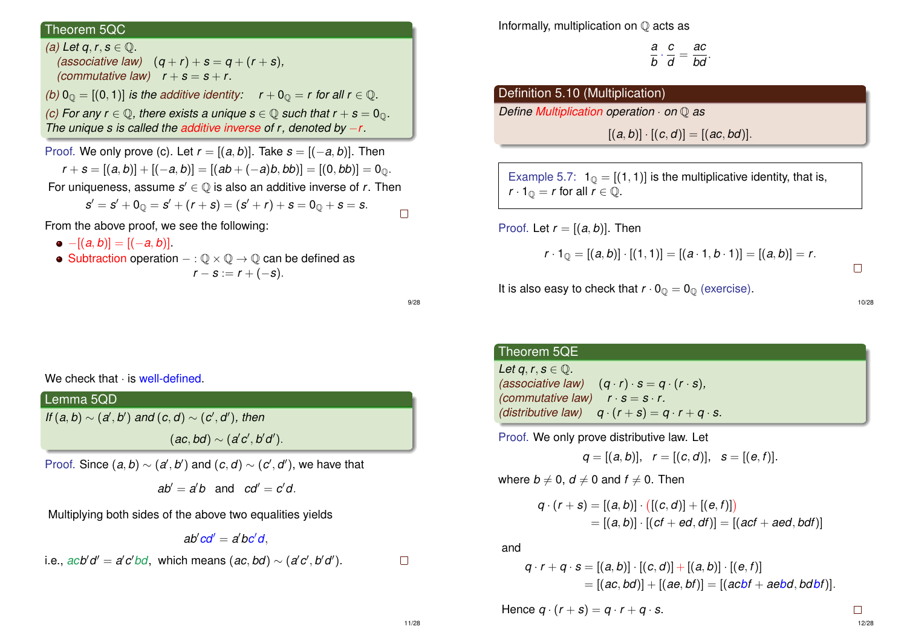#### Theorem 5QC

*(a)* Let  $a, r, s \in \mathbb{O}$ . *(associative law)*  $(q + r) + s = q + (r + s)$ , *(commutative law)*  $r + s = s + r$ . *(b)*  $0_{\mathbb{O}} = [(0, 1)]$  *is the additive identity:*  $r + 0_{\mathbb{O}} = r$  *for all*  $r \in \mathbb{O}$ *. (c)* For any  $r \in \mathbb{Q}$ , there exists a unique  $s \in \mathbb{Q}$  such that  $r + s = 0$ <sub> $\Omega$ </sub>. *The unique s is called the additive inverse of r, denoted by* −*r.*

Proof. We only prove (c). Let  $r = [(a, b)]$ . Take  $s = [(-a, b)]$ . Then  $r + s = [(a, b)] + [(-a, b)] = [(ab + (-a)b, bb)] = [(0, bb)] = 0_0.$ For uniqueness, assume  $s' \in \mathbb{Q}$  is also an additive inverse of  $r$ . Then  $s' = s' + 0_{\mathbb{Q}} = s' + (r + s) = (s' + r) + s = 0_{\mathbb{Q}} + s = s.$  $\Box$ 

From the above proof, we see the following:

- $\bullet$   $-[ (a, b) ] = [ (-a, b) ].$
- $\bullet$  Subtraction operation  $-$ :  $\mathbb{O} \times \mathbb{O} \rightarrow \mathbb{O}$  can be defined as  $r - s := r + (-s)$ .

9/28

We check that  $\cdot$  is well-defined.

Lemma 5QD  $f(f(a, b) \sim (a', b')$  and  $(c, d) \sim (c', d')$ , then  $(ac, bd) \sim (a'c', b'd').$ 

Proof. Since  $(a, b) \sim (a', b')$  and  $(c, d) \sim (c', d')$ , we have that

$$
ab' = a'b \quad \text{and} \quad cd' = c'd.
$$

Multiplying both sides of the above two equalities yields

$$
ab'cd'=a'bc'd,
$$

i.e., 
$$
acb'd' = a'c'bd
$$
, which means  $(ac, bd) \sim (a'c', b'd')$ .

Informally, multiplication on  $\mathbb O$  acts as

*a c*  $\frac{a}{b} \cdot \frac{c}{d} = \frac{ac}{bd}$ .

#### Definition 5.10 (Multiplication)

*Define Multiplication operation* · *on* Q *as*

 $[(a, b)] \cdot [(c, d)] = [(ac, bd)].$ 

Example 5.7:  $\mathbf{1}_{\mathbb{Q}} = [(1, 1)]$  is the multiplicative identity, that is,  $r \cdot 1_0 = r$  for all  $r \in \mathbb{Q}$ .

Proof. Let  $r = [(a, b)]$ . Then

$$
r \cdot 1_{\mathbb{Q}} = [(a, b)] \cdot [(1, 1)] = [(a \cdot 1, b \cdot 1)] = [(a, b)] = r.
$$

 $\Box$ 

It is also easy to check that  $r \cdot 0_{\mathbb{Q}} = 0_{\mathbb{Q}}$  (exercise).

10/28

# Theorem 5QE

*Let*  $a, r, s \in \mathbb{O}$ *. (associative law)*  $(q \cdot r) \cdot s = q \cdot (r \cdot s)$ , *(commutative law)*  $r \cdot s = s \cdot r$ . *(distributive law)*  $q \cdot (r + s) = q \cdot r + q \cdot s$ .

Proof. We only prove distributive law. Let

$$
q = [(a, b)],
$$
  $r = [(c, d)],$   $s = [(e, f)].$ 

where  $b \neq 0$ ,  $d \neq 0$  and  $f \neq 0$ . Then

$$
q \cdot (r + s) = [(a, b)] \cdot ([(c, d)] + [(e, f)]
$$
  
= [(a, b)] \cdot [(cf + ed, df)] = [(acf + aed, bdf)]

and

$$
q \cdot r + q \cdot s = [(a, b)] \cdot [(c, d)] + [(a, b)] \cdot [(e, f)]
$$
  
= [(ac, bd)] + [(ae, bf)] = [(acbf + aebd, bdbf)].

Hence  $q \cdot (r + s) = q \cdot r + q \cdot s$ .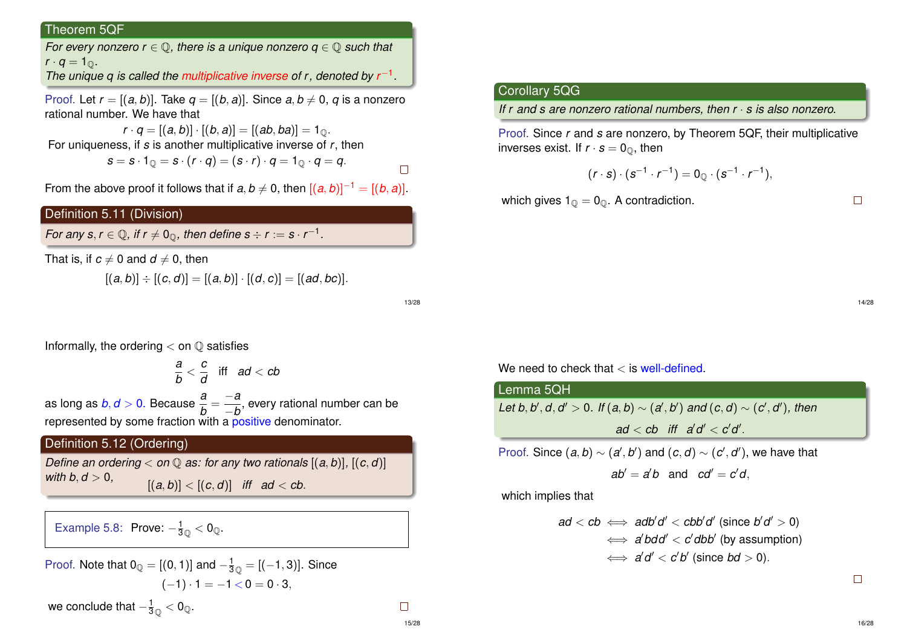#### Theorem 5QF

*For every nonzero r*  $\in \mathbb{O}$ , there is a unique nonzero  $q \in \mathbb{O}$  such that  $r \cdot q = 1_{\mathbb{O}}.$ 

*The unique q is called the multiplicative inverse of r, denoted by r* −1 *.*

Proof. Let  $r = [(a, b)]$ . Take  $q = [(b, a)]$ . Since  $a, b \neq 0$ ,  $q$  is a nonzero rational number. We have that

 $r \cdot q = [(a, b)] \cdot [(b, a)] = [(ab, ba)] = 1_0.$ For uniqueness, if *s* is another multiplicative inverse of *r*, then

$$
s=s\cdot 1_{\mathbb{Q}}=s\cdot (r\cdot q)=(s\cdot r)\cdot q=1_{\mathbb{Q}}\cdot q=q.
$$

From the above proof it follows that if  $a, b \neq 0$ , then  $[(a, b)]^{-1} = [(b, a)]$ .

#### Definition 5.11 (Division)

*For any s, r* ∈  $\mathbb{Q}$ *, if r*  $\neq$  0<sub> $\mathbb{Q}$ *, then define s*  $\div$  *r* := *s* · *r*<sup>-1</sup>*.*</sub>

That is, if  $c \neq 0$  and  $d \neq 0$ , then

$$
[(a,b)] \div [(c,d)] = [(a,b)] \cdot [(d,c)] = [(ad,bc)].
$$

13/28

 $\Box$ 

Informally, the ordering  $<$  on  $\mathbb Q$  satisfies

$$
\frac{a}{b} < \frac{c}{d} \quad \text{iff} \quad ad < cb
$$

as long as  $b, d > 0$ . Because  $\frac{a}{b} = \frac{-a}{-b}$  $-\frac{2}{b}$ , every rational number can be represented by some fraction with a positive denominator.

#### Definition 5.12 (Ordering)

*Define an ordering*  $<$  *on*  $\mathbb{O}$  *as: for any two rationals*  $[(a, b)]$ ,  $[(c, d)]$ *with b,*  $d > 0$ *,*  $[(a, b)] < [(c, d)]$  *iff* ad < cb.

Example 5.8: Prove:  $-\frac{1}{3}\mathbb{Q} < 0\mathbb{Q}$ .

Proof. Note that  $0_{\mathbb{Q}}=[(0,1)]$  and  $-\frac{1}{3_{\mathbb{Q}}}=[(-1,3)]$ . Since  $(-1) \cdot 1 = -1 < 0 = 0 \cdot 3$ . we conclude that  $-\frac{1}{3}_\mathbb{Q} <$  0 $_\mathbb{Q}.$ 

Corollary 5QG

*If r and s are nonzero rational numbers, then r* · *s is also nonzero.*

Proof. Since *r* and *s* are nonzero, by Theorem 5QF, their multiplicative inverses exist. If  $r \cdot s = 0$ <sub>0</sub>, then

$$
(r \cdot s) \cdot (s^{-1} \cdot r^{-1}) = 0_{\mathbb{Q}} \cdot (s^{-1} \cdot r^{-1}),
$$

which gives  $1_{\mathbb{O}} = 0_{\mathbb{O}}$ . A contradiction.

 $\Box$ 

14/28

We need to check that  $<$  is well-defined.

Lemma 5QH  $\mathcal{L}$ et  $b, b', d, d' > 0$ . If  $(a, b) \sim (a', b')$  and  $(c, d) \sim (c', d')$ , then  $ad < cb$  iff  $a'd' < c'd'$ .

Proof. Since  $(a, b) \sim (a', b')$  and  $(c, d) \sim (c', d')$ , we have that

 $ab' = a'b$  and  $cd' = c'd$ ,

which implies that

$$
ad < cb \iff adb'd' < cbb'b'd'
$$
 (since  $b'd' > 0$ )  

$$
\iff d' b d d' < c' db b'
$$
 (by assumption)  

$$
\iff d' d' < c' b'
$$
 (since  $bd > 0$ ).

 $\Box$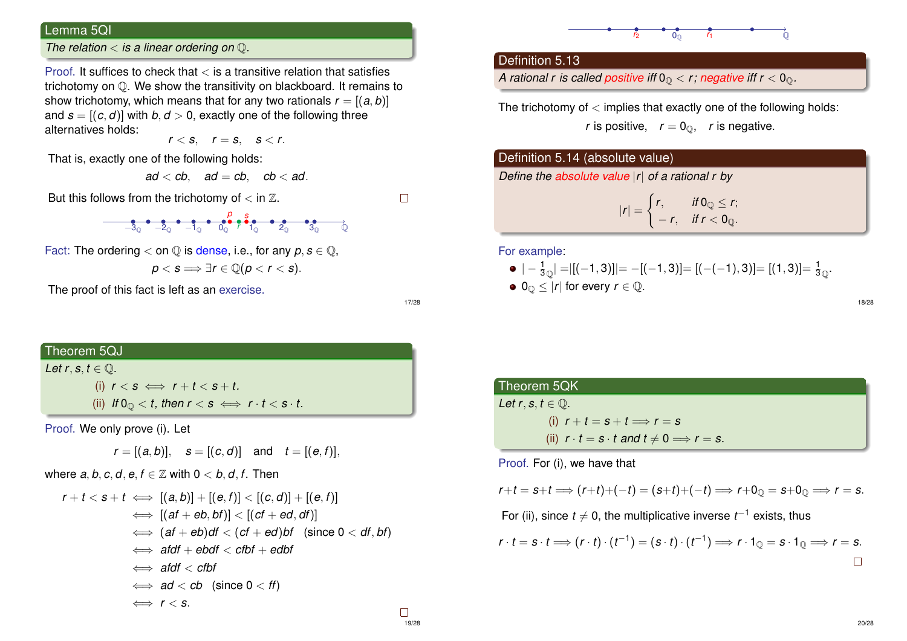#### Lemma 5QI

*The relation* < *is a linear ordering on* Q*.*

Proof. It suffices to check that  $<$  is a transitive relation that satisfies trichotomy on Q. We show the transitivity on blackboard. It remains to show trichotomy, which means that for any two rationals  $r = [(a, b)]$ and  $s = [(c, d)]$  with  $b, d > 0$ , exactly one of the following three alternatives holds:

 $r < s$ ,  $r = s$ ,  $s < r$ .

That is, exactly one of the following holds:

$$
ad < cb, \quad ad = cb, \quad cb < ad.
$$

But this follows from the trichotomy of  $\lt$  in  $\mathbb Z$ .

$$
\qquad \qquad \Box
$$

$$
-3_0 -2_0 -1_0 0_0 r_10 0
$$

Fact: The ordering  $<$  on  $\mathbb Q$  is dense, i.e., for any  $p, s \in \mathbb Q$ ,  $p < s \Longrightarrow \exists r \in \mathbb{O}(p < r < s).$ 

The proof of this fact is left as an exercise.

17/28

Theorem 5QJ *Let*  $r, s, t \in \mathbb{Q}$ . (i)  $r < s \iff r + t < s + t$ . (ii) *If*  $0_0 < t$ , then  $r < s \iff r \cdot t < s \cdot t$ . Proof. We only prove (i). Let  $r = [(a, b)], s = [(c, d)]$  and  $t = [(e, f)],$ 

where  $a, b, c, d, e, f \in \mathbb{Z}$  with  $0 < b, d, f$ . Then

$$
r + t < s + t \iff [(a, b)] + [(e, f)] < [(c, d)] + [(e, f)]
$$
\n
$$
\iff [(af + eb, bf)] < [(cf + ed, df)]
$$
\n
$$
\iff (af + eb)df < (cf + ed)bf \quad \text{(since } 0 < df, bf)
$$
\n
$$
\iff \text{aff} + \text{ebdf} < \text{cfbf} + \text{edbf}
$$
\n
$$
\iff \text{aff} < \text{cfbf}
$$
\n
$$
\iff \text{ad} < cb \quad \text{(since } 0 < ff)
$$
\n
$$
\iff r < s.
$$

$$
\bullet \qquad \bullet \qquad \bullet \qquad \bullet \qquad \bullet \qquad \bullet \qquad \bullet
$$

#### Definition 5.13

*A rational r is called positive iff*  $0<sub>Q</sub> < r$ ; *negative iff*  $r < 0<sub>Q</sub>$ .

The trichotomy of  $\lt$  implies that exactly one of the following holds: *r* is positive,  $r = 0_0$ , *r* is negative.

#### Definition 5.14 (absolute value)

*Define the absolute value* |*r*| *of a rational r by*

$$
|r| = \begin{cases} r, & \text{if } 0_{\mathbb{Q}} \leq r; \\ -r, & \text{if } r < 0_{\mathbb{Q}}. \end{cases}
$$

#### For example:

\n- \n
$$
|- \frac{1}{3}\mathbb{Q} | = |[(-1,3)]| = -[(-1,3)] = [(-(-1),3)] = [(1,3)] = \frac{1}{3}\mathbb{Q}
$$
\n
\n- \n $0\mathbb{Q} \leq |r|$  for every  $r \in \mathbb{Q}$ .\n
\n

Theorem 5QK *Let*  $r, s, t \in \mathbb{Q}$ . (i)  $r + t = s + t \implies r = s$ (ii)  $r \cdot t = s \cdot t$  and  $t \neq 0 \Longrightarrow r = s$ .

Proof. For (i), we have that

$$
r+t = s+t \Longrightarrow (r+t)+(-t) = (s+t)+(-t) \Longrightarrow r+0_{\mathbb{Q}} = s+0_{\mathbb{Q}} \Longrightarrow r = s.
$$

For (ii), since  $t \neq 0$ , the multiplicative inverse  $t^{-1}$  exists, thus

$$
r \cdot t = s \cdot t \Longrightarrow (r \cdot t) \cdot (t^{-1}) = (s \cdot t) \cdot (t^{-1}) \Longrightarrow r \cdot 1_{\mathbb{Q}} = s \cdot 1_{\mathbb{Q}} \Longrightarrow r = s.
$$

 $\Box$ -<br>19/28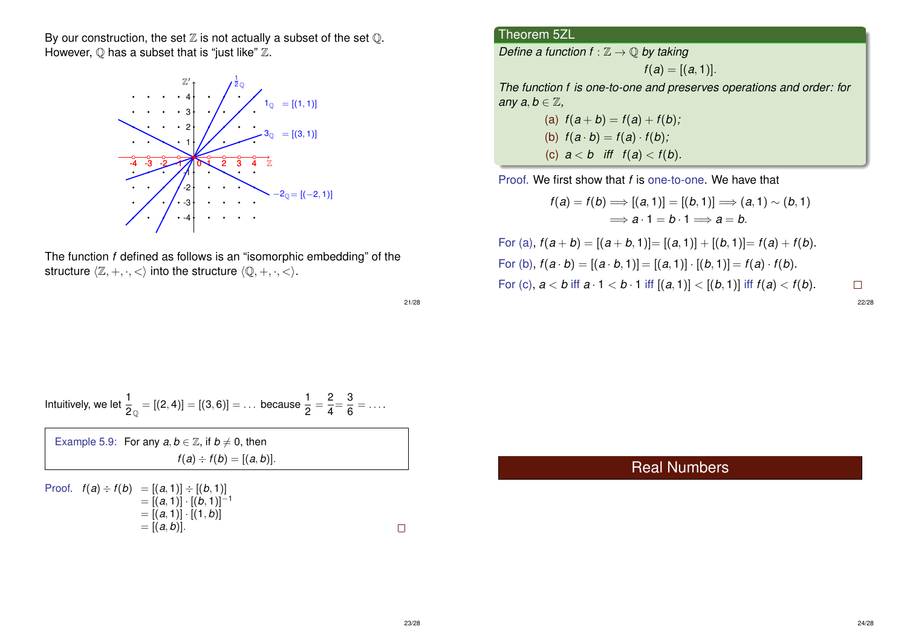By our construction, the set  $\mathbb Z$  is not actually a subset of the set  $\mathbb Q$ . However,  $\mathbb Q$  has a subset that is "just like"  $\mathbb Z$ .



The function *f* defined as follows is an "isomorphic embedding" of the structure  $\langle \mathbb{Z}, +, \cdot, < \rangle$  into the structure  $\langle \mathbb{Q}, +, \cdot, < \rangle$ .

#### Theorem 5ZL

*Define a function f* : ℤ → ℚ *by taking* 

$$
f(a)=[(a,1)].
$$

*The function f is one-to-one and preserves operations and order: for any*  $a, b \in \mathbb{Z}$ ,

> (a)  $f(a + b) = f(a) + f(b)$ ; (b)  $f(a \cdot b) = f(a) \cdot f(b)$ ; (c)  $a < b$  iff  $f(a) < f(b)$ .

Proof. We first show that *f* is one-to-one. We have that

$$
f(a) = f(b) \Longrightarrow [(a, 1)] = [(b, 1)] \Longrightarrow (a, 1) \sim (b, 1)
$$
  

$$
\Longrightarrow a \cdot 1 = b \cdot 1 \Longrightarrow a = b.
$$

For (a),  $f(a + b) = [(a + b, 1)] = [(a, 1)] + [(b, 1)] = f(a) + f(b).$ For (b),  $f(a \cdot b) = [(a \cdot b, 1)] = [(a, 1)] \cdot [(b, 1)] = f(a) \cdot f(b).$ For (c),  $a < b$  iff  $a \cdot 1 < b \cdot 1$  iff  $[(a, 1)] < [(b, 1)]$  iff  $f(a) < f(b)$ .

21/28

Intuitively, we let  $\frac{1}{2}_{\mathbb{Q}} = [(2, 4)] = [(3, 6)] = \dots$  because  $\frac{1}{2} = \frac{2}{4}$  $\frac{2}{4} = \frac{3}{6}$  $\frac{8}{6}$  = .... Example 5.9: For any  $a, b \in \mathbb{Z}$ , if  $b \neq 0$ , then

$$
f(a) \div f(b) = [(a, b)].
$$

Proof. 
$$
f(a) \div f(b) = [(a, 1)] \div [(b, 1)]
$$
  
=  $[(a, 1)] \cdot [(b, 1)]^{-1}$   
=  $[(a, 1)] \cdot [(1, b)]$   
=  $[(a, b)].$ 

Real Numbers

 $\Box$ 

22/28